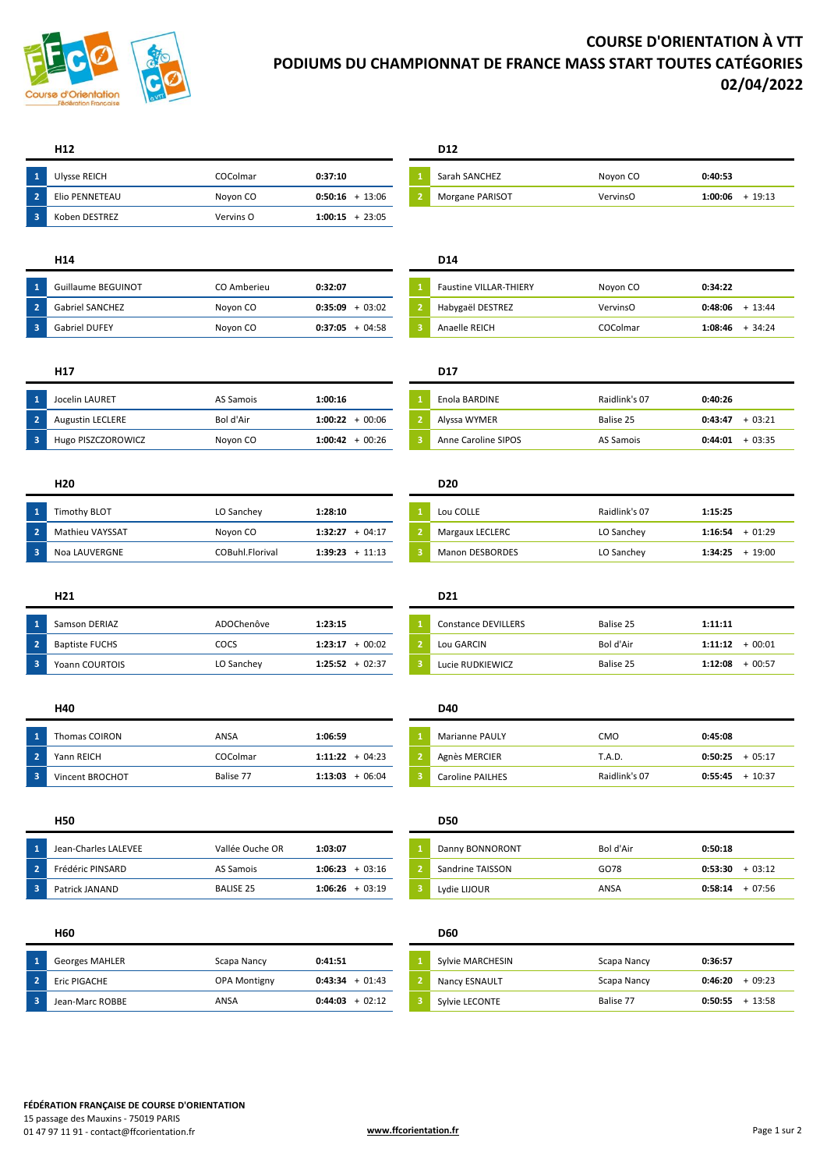

# **COURSE D'ORIENTATION À VTT PODIUMS DU CHAMPIONNAT DE FRANCE MASS START TOUTES CATÉGORIES 02/04/2022**

|      | Ulysse REICH   | COColmar  | 0:37:10           | Sarah SANCHEZ   | Noyon CO | 0:40:53 |
|------|----------------|-----------|-------------------|-----------------|----------|---------|
| - 21 | Elio PENNETEAU | Novon CO  | $0:50:16 + 13:06$ | Morgane PARISOT | VervinsO | 1:00:06 |
| - 3' | Koben DESTREZ  | Vervins O | $1:00:15 + 23:05$ |                 |          |         |

| Guillaume BEGUINOT     | CO Amberieu | 0:32:07             | Faustine VILLAR-THIERY | Noyon CO | 0:34:22 |       |
|------------------------|-------------|---------------------|------------------------|----------|---------|-------|
| <b>Gabriel SANCHEZ</b> | Noyon CO    | $+03:02$<br>0:35:09 | Habygaël DESTREZ       | VervinsO | 0:48:06 | 13:44 |
| <b>Gabriel DUFEY</b>   | Novon CO    | $+04:58$<br>0:37:05 | Anaelle REICH          | COColmar | 1:08:46 | 34:24 |

| Jocelin LAURET          | AS Samois | 1:00:16             | Enola BARDINE       | Raidlink's 07 | 0:40:26 |
|-------------------------|-----------|---------------------|---------------------|---------------|---------|
| <b>Augustin LECLERE</b> | Bol d'Air | $1:00:22 + 00:06$   | Alyssa WYMER        | Balise 25     | 0:43:47 |
| Hugo PISZCZOROWICZ      | Noyon CO  | $+00:26$<br>1:00:42 | Anne Caroline SIPOS | AS Samois     | 0:44:01 |

| l 1 | Timothv BLOT    | LO Sanchey      | 1:28:10             | Lou COLLE              | Raidlink's 07 | 1:15:25 |          |
|-----|-----------------|-----------------|---------------------|------------------------|---------------|---------|----------|
|     | Mathieu VAYSSAT | Noyon CO        | $+04:17$<br>1:32:27 | <b>Margaux LECLERC</b> | LO Sanchey    | 1:16:54 | $-01:29$ |
| - 3 | Noa LAUVERGNE   | COBuhl.Florival | 1:39:23<br>$+11:13$ | <b>Manon DESBORDES</b> | LO Sanchey    | 1:34:25 | 19:00    |

|     | Samson DERIAZ         | ADOChenôve | 1:23:15             | Constance DEVILLERS | Balise 25 | 1:11:11 |         |
|-----|-----------------------|------------|---------------------|---------------------|-----------|---------|---------|
| - 2 | <b>Baptiste FUCHS</b> | COCS       | $+00:02$<br>1:23:17 | Lou GARCIN          | Bol d'Air | 1:11:12 | 00:01   |
| -3  | <b>Yoann COURTOIS</b> | LO Sanchey | $1:25:52 + 02:37$   | Lucie RUDKIEWICZ    | Balise 25 | 1:12:08 | 00:57 - |

| \ 1                      | Thomas COIRON   | ANSA      | 1:06:59             | <b>Marianne PAULY</b> | CMO           | 0:45:08 |         |
|--------------------------|-----------------|-----------|---------------------|-----------------------|---------------|---------|---------|
| $\sqrt{2}$               | Yann REICH      | COColmar  | $1:11:22 + 04:23$   | Agnès MERCIER         | `.A.D.        | 0:50:25 | + 05:17 |
| $\overline{\phantom{a}}$ | Vincent BROCHOT | Balise 77 | $+06:04$<br>1:13:03 | Caroline PAILHES      | Raidlink's 07 | 0:55:45 | 10:37   |

| Jean-Charles LALEVEE | Vallée Ouche OR  | 1:03:07             | Danny BONNORONT  | Bol d'Air | 0:50:18 |          |
|----------------------|------------------|---------------------|------------------|-----------|---------|----------|
| Frédéric PINSARD     | AS Samois        | $+03:16$<br>1:06:23 | Sandrine TAISSON | GO78      | 0:53:30 | $-03:12$ |
| Patrick JANAND       | <b>BALISE 25</b> | $+03:19$<br>1:06:26 | Lydie LIJOUR     | ANSA      | 0:58:14 | $+07:56$ |

## **H60 D60**

| <b>Georges MAHLER</b> | Scapa Nancy         | 0:41:51             | Sylvie MARCHESIN     | Scapa Nancy | 0:36:57 |          |
|-----------------------|---------------------|---------------------|----------------------|-------------|---------|----------|
| Eric PIGACHE          | <b>OPA Montigny</b> | 0:43:34<br>$+01:43$ | <b>Nancy ESNAULT</b> | Scapa Nancy | 0:46:20 | - 09:23  |
| Jean-Marc ROBBE       | ANSA                | $+02:12$<br>0:44:03 | Sylvie LECONTE       | Balise 77   | 0:50:55 | $-13.58$ |

## **H12 D12**

| <b>Ulysse REICH</b> | COColmar | 0:37:10          | Sarah SANCHEZ   | Noyon CO | 0:40:53          |
|---------------------|----------|------------------|-----------------|----------|------------------|
| Elio PENNETEAU      | Noyon CO | 13:06<br>0:50:16 | Morgane PARISOT | VervinsO | 19:13<br>1:00:06 |

## **H14 D14**

| <b>Faustine VILLAR-THIERY</b> | Noyon CO | 0:34:22           |
|-------------------------------|----------|-------------------|
| Habygaël DESTREZ              | VervinsO | $0:48:06 + 13:44$ |
| Anaelle REICH                 | COColmar | $1:08:46 + 34:24$ |

## **H17 D17**

| Jocelin LAURET          | AS Samois | 1:00:16           | Enola BARDINE       | Raidlink's 07 | 0:40:26             |
|-------------------------|-----------|-------------------|---------------------|---------------|---------------------|
| <b>Augustin LECLERE</b> | Bol d'Air | $1:00:22 + 00:06$ | Alyssa WYMER        | Balise 25     | $+03:21$<br>0:43:47 |
| Hugo PISZCZOROWICZ      | Novon CO  | $1:00:42 + 00:26$ | Anne Caroline SIPOS | AS Samois     | $+03:35$<br>0:44:01 |

## **H20 D20**

| Lou COLLE              | Raidlink's 07 | 1:15:25           |
|------------------------|---------------|-------------------|
| Margaux LECLERC        | LO Sanchey    | $1:16:54 + 01:29$ |
| <b>Manon DESBORDES</b> | LO Sanchey    | $1:34:25 + 19:00$ |

## **H21 D21**

# Constance DEVILLERS **1:11:11**

## **H40 D40**

| Marianne PAULY          | <b>CMO</b>    | 0:45:08           |
|-------------------------|---------------|-------------------|
| Agnès MERCIER           | T.A.D.        | $0:50:25 + 05:17$ |
| <b>Caroline PAILHES</b> | Raidlink's 07 | $0:55:45 + 10:37$ |

| H50                  |                  |                   | <b>D50</b>       |           |                     |
|----------------------|------------------|-------------------|------------------|-----------|---------------------|
| Jean-Charles LALEVEE | Vallée Ouche OR  | 1:03:07           | Danny BONNORONT  | Bol d'Air | 0:50:18             |
| Frédéric PINSARD     | AS Samois        | $1:06:23 + 03:16$ | Sandrine TAISSON | GO78      | $+03:12$<br>0:53:30 |
| Patrick JANAND       | <b>BALISE 25</b> | $1:06:26 + 03:19$ | Lydie LIJOUR     | ANSA      | $+07:56$<br>0:58:14 |

| Sylvie MARCHESIN | Scapa Nancy | 0:36:57           |  |
|------------------|-------------|-------------------|--|
| Nancy ESNAULT    | Scapa Nancy | $0:46:20 + 09:23$ |  |
| Sylvie LECONTE   | Balise 77   | $0:50:55 + 13:58$ |  |